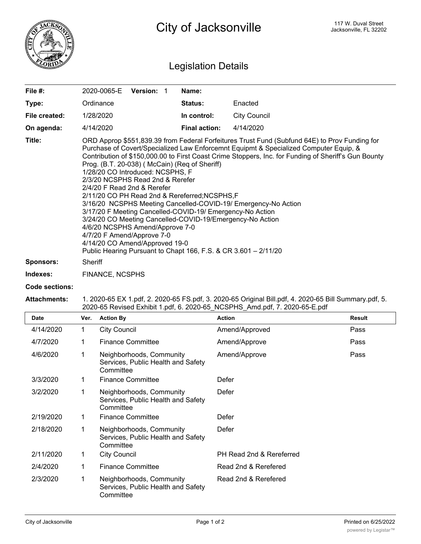

## Legislation Details

| File $#$ :       | 2020-0065-E                                                                                                                                                                                                                                                                                                                                                                                                                                                                                                                                                                                                                                                                                                                                                                                                                                                                | <b>Version:</b> |  | Name:                |                     |  |  |
|------------------|----------------------------------------------------------------------------------------------------------------------------------------------------------------------------------------------------------------------------------------------------------------------------------------------------------------------------------------------------------------------------------------------------------------------------------------------------------------------------------------------------------------------------------------------------------------------------------------------------------------------------------------------------------------------------------------------------------------------------------------------------------------------------------------------------------------------------------------------------------------------------|-----------------|--|----------------------|---------------------|--|--|
|                  |                                                                                                                                                                                                                                                                                                                                                                                                                                                                                                                                                                                                                                                                                                                                                                                                                                                                            |                 |  |                      |                     |  |  |
| Type:            | Ordinance                                                                                                                                                                                                                                                                                                                                                                                                                                                                                                                                                                                                                                                                                                                                                                                                                                                                  |                 |  | <b>Status:</b>       | Enacted             |  |  |
| File created:    | 1/28/2020                                                                                                                                                                                                                                                                                                                                                                                                                                                                                                                                                                                                                                                                                                                                                                                                                                                                  |                 |  | In control:          | <b>City Council</b> |  |  |
| On agenda:       | 4/14/2020                                                                                                                                                                                                                                                                                                                                                                                                                                                                                                                                                                                                                                                                                                                                                                                                                                                                  |                 |  | <b>Final action:</b> | 4/14/2020           |  |  |
| Title:           | ORD Approp \$551,839.39 from Federal Forfeitures Trust Fund (Subfund 64E) to Prov Funding for<br>Purchase of Covert/Specialized Law Enforcemnt Equipmt & Specialized Computer Equip, &<br>Contribution of \$150,000.00 to First Coast Crime Stoppers, Inc. for Funding of Sheriff's Gun Bounty<br>Prog. (B.T. 20-038) (McCain) (Req of Sheriff)<br>1/28/20 CO Introduced: NCSPHS, F<br>2/3/20 NCSPHS Read 2nd & Rerefer<br>2/4/20 F Read 2nd & Rerefer<br>2/11/20 CO PH Read 2nd & Rereferred; NCSPHS, F<br>3/16/20 NCSPHS Meeting Cancelled-COVID-19/ Emergency-No Action<br>3/17/20 F Meeting Cancelled-COVID-19/ Emergency-No Action<br>3/24/20 CO Meeting Cancelled-COVID-19/Emergency-No Action<br>4/6/20 NCSPHS Amend/Approve 7-0<br>4/7/20 F Amend/Approve 7-0<br>4/14/20 CO Amend/Approved 19-0<br>Public Hearing Pursuant to Chapt 166, F.S. & CR 3.601 - 2/11/20 |                 |  |                      |                     |  |  |
| <b>Sponsors:</b> | Sheriff                                                                                                                                                                                                                                                                                                                                                                                                                                                                                                                                                                                                                                                                                                                                                                                                                                                                    |                 |  |                      |                     |  |  |
| Indexes:         | <b>FINANCE, NCSPHS</b>                                                                                                                                                                                                                                                                                                                                                                                                                                                                                                                                                                                                                                                                                                                                                                                                                                                     |                 |  |                      |                     |  |  |

## **Code sections:**

## **Attachments:** 1. 2020-65 EX 1.pdf, 2. 2020-65 FS.pdf, 3. 2020-65 Original Bill.pdf, 4. 2020-65 Bill Summary.pdf, 5. 2020-65 Revised Exhibit 1.pdf, 6. 2020-65\_NCSPHS\_Amd.pdf, 7. 2020-65-E.pdf

| Date      | Ver. | <b>Action By</b>                                                            | <b>Action</b>            | <b>Result</b> |
|-----------|------|-----------------------------------------------------------------------------|--------------------------|---------------|
| 4/14/2020 | 1    | <b>City Council</b>                                                         | Amend/Approved           | Pass          |
| 4/7/2020  |      | <b>Finance Committee</b>                                                    | Amend/Approve            | Pass          |
| 4/6/2020  |      | Neighborhoods, Community<br>Services, Public Health and Safety<br>Committee | Amend/Approve            | Pass          |
| 3/3/2020  |      | <b>Finance Committee</b>                                                    | Defer                    |               |
| 3/2/2020  |      | Neighborhoods, Community<br>Services, Public Health and Safety<br>Committee | Defer                    |               |
| 2/19/2020 |      | <b>Finance Committee</b>                                                    | Defer                    |               |
| 2/18/2020 |      | Neighborhoods, Community<br>Services, Public Health and Safety<br>Committee | Defer                    |               |
| 2/11/2020 | 1    | <b>City Council</b>                                                         | PH Read 2nd & Rereferred |               |
| 2/4/2020  | 1    | <b>Finance Committee</b>                                                    | Read 2nd & Rerefered     |               |
| 2/3/2020  |      | Neighborhoods, Community<br>Services, Public Health and Safety<br>Committee | Read 2nd & Rerefered     |               |